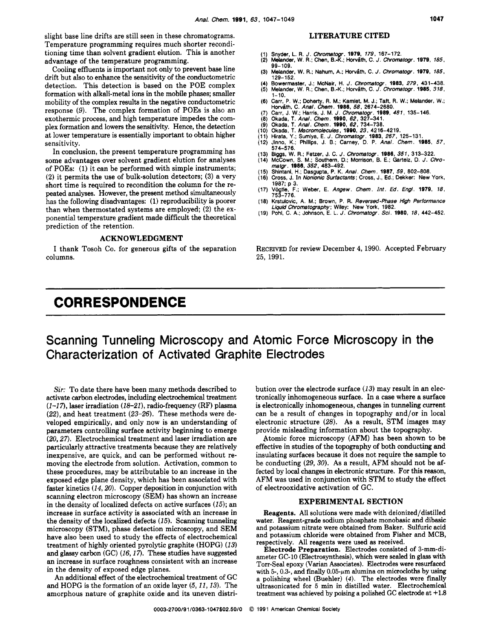slight base line drifts are still seen in these chromatograms. Temperature programming requires much shorter reconditioning time than solvent gradient elution. This is another advantage of the temperature programming.

Cooling effluents is important not only to prevent base line detection. This detection is based on the POE complex formation with alkali-metal ions in the mobile phases; smaller drift but also to enhance the sensitivity of the conductometric mobility of the complex results in the negative conductometric response (9). The complex formation of POEs is also an exothermic process, and high temperature impedes the complex formation and lowers the sensitivity. Hence, the detection at lower temperature is essentially important to obtain higher sensitivity.

In conclusion, the present temperature programming has some advantages over solvent gradient elution for analyses of POEs: (1) it can be performed with simple instruments; **(2)** it permits the use of bulk-solution detectors; **(3)** a very short time is required to recondition the column for the repeated analyses. However, the present method simultaneously has the following disadvantages: (1) reproducibility is poorer than when thermostated systems are employed; **(2)** the exponential temperature gradient made difficult the theoretical prediction of the retention.

#### **ACKNOWLEDGMENT**

I thank Tosoh Co. for generous gifts of the separation columns.

# **CORRESPONDENCE**

## **LITERATURE CITED**

- 
- (1) Snyder, L. **R.** J. *Chfomatogr.* **1979,** *179,* 167-172. (2) Melander, W. R.; Chen, B.-K.; With, C. *J.* Cbromatogr. **1979,** *185,*  99-109.
- (3) Melander, W. R.; Nahum, A.; Horváth, C. *J. Chromatogr.* **1979**, *185*, **1879**
- (4) Bowermaster, J.; McNair, H. *J.* Chromatogr. **1983,** *279,* 431-438. (5) Melander, W. R.; Chen, B.-K.; Ho~ith, C. J. Cbromatogr. **1985,** *318,*  1-10,
- 
- 
- 
- 
- 
- (6) Carr, P. W.; Doherty, R. M.; Kamlet, M. J.; Taft, R. W.; Helander, W.;<br>Horváth, C. Anal. Chem. 1986, 58, 2614–2680.<br>(7) Carr, J. W.; Harris, J. M. J. Chromatogr. 1989, 481, 135–146.<br>(8) Okada, T. Anal. Chem. 1990, 62,
- 
- (13) Biggs, W. **R.;** Fetzer, J. C. *J.* Cbromatogr. **1986,** *351,* 313-322. (14) McCown, S. **M.;** Southern, D.; Morrison, B. **E.;** Garteiz, D. J. *Chromatgr.* **1986,** 352,463-492.
- (15) Shintanl, **H.;** Dasgupta, P. K. *Anal. Chem.* **1987,** *59,* 802-808. (16) Cross, J. In *Nonionic Surfactants;* Cross, J., Ed.; Dekker: New York,
- 1987; p 3. (17) Vogtle, F.; Weber, **E.** *Angew.* Chem. *Int. Ed. Engl.* **1979,** *18,*
- 753-776.
- (18) Krstulovic, A. M.; Brown, P. R. *Reversed-Phase High Performance*<br>L*iquid Chromatography*; Wiley: New York, 1982.<br>(19) Pohl, C. A.; Johnson, E. L. *J. Chromatogr . Sci* . **1980**, *18*, 442–452.

RECEIVED for review December 4,1990. Accepted February **25,** 1991.

# Scanning Tunneling Microscopy and Atomic Force Microscopy in the Characterization **of** Activated Graphite Electrodes

*Sir:* To date there have been many methods described to activate carbon electrodes, including electrochemical treatment (1-1 **7),** laser irradiation *(18-21),* radio-frequency (RF) plasma *(22),* and heat treatment *(23-26).* These methods were developed empirically, and only now is an understanding of parameters controlling surface activity beginning to emerge **(20,27).** Electrochemical treatment and laser irradiation are particularly attractive treatments because they are relatively inexpensive, are quick, and can be performed without removing the electrode from solution. Activation, common to these procedures, may be attributable to an increase in the exposed edge plane density, which has been associated with faster kinetics *(14,20).* Copper deposition in conjunction with scanning electron microscopy (SEM) has shown an increase in the density of localized defects on active surfaces *(15);* an increase in surface activity is associated with an increase in the density of the localized defects *(15).* Scanning tunneling microscopy (STM), phase detection microscopy, and SEM have also been used to study the effects of electrochemical treatment of highly oriented pyrolytic graphite (HOPG) *(13)*  and glassy carbon (GC) *(16,17).* These studies have suggested an increase in surface roughness consistent with an increase in the density of exposed edge planes.

An additional effect of the electrochemical treatment of GC and HOPG is the formation of an oxide layer *(5,11,13).* The amorphous nature of graphite oxide and its uneven distribution over the electrode surface *(13)* may result in an electronically inhomogeneous surface. In a case where a surface is electronically inhomogeneous, changes in tunneling current can be a result of changes in topography and/or in local electronic structure **(28).** As a result, STM images may provide misleading information about the topography.

Atomic force microscopy (AFM) has been shown to be effective in studies of the topography of both conducting and insulating surfaces because it does not require the sample to be conducting **(29,** *30).* As a result, AFM should not be affected by local changes in electronic structure. For this reason, AFM was used in conjunction with STM to study the effect of electrooxidative activation of GC.

#### **EXPERIMENTAL SECTION**

Reagents. All solutions were made with deionized/distilled water. Reagent-grade sodium phosphate monobasic and dibasic and potassium nitrate were obtained from Baker. Sulfuric acid and potassium chloride were obtained from Fisher and MCB, respectively. All reagents were used **as** received.

Electrode Preparation. Electrodes consisted of 3-mm-diameter GC-10 (Electrosynthesis), which were sealed in glass with Torr-Seal epoxy (Varian Associates). Electrodes were resurfaced with  $5$ -, 0.3-, and finally 0.05- $\mu$ m alumina on microcloths by using a polishing wheel (Buehler) *(4).* The electrodes were finally ultrasonicated for **5** min in distilled water. Electrochemical treatment was achieved by poising a polished **GC** electrode at +1.8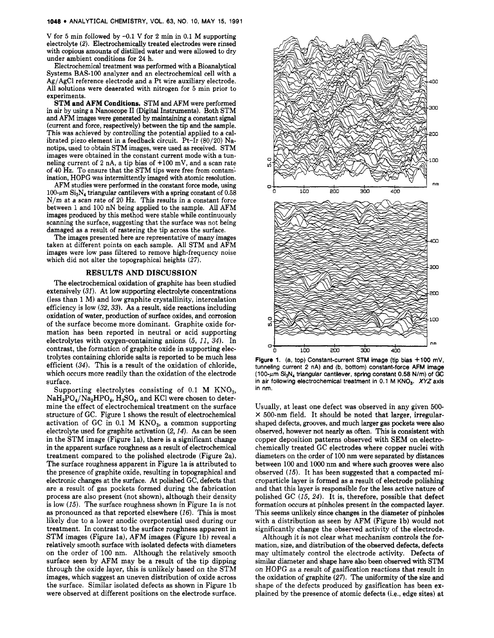V for **5** min followed by -0.1 **V** for 2 min in 0.1 M supporting electrolyte *(2).* Electrochemically treated electrodes were rinsed with copious **amounts** of distilled water and were allowed to dry under ambient conditions for **24** h.

Electrochemical treatment was performed with a Bioanalytical Systems BAS-100 analyzer and an electrochemical cell with a Ag/AgCl reference electrode and a Pt wire auxiliary electrode. All solutions were deaerated with nitrogen for **5** min prior to experiments.

**STM and AFM Conditions.** STM and AFM were performed in air by using a Nanoscope I1 (Digital Instruments). Both STM and AFM images were generated by maintaining a constant signal (current and force, respectively) between the tip and the sample. This was achieved by controlling the potential applied to a calibrated piezo element in a feedback circuit. Pt-Ir (80/20) Nanotips, used to obtain STM images, were used **as** received. STM images were obtained in the constant current mode with a tunneling current of 2 nA, a tip bias of +100 mV, and a scan rate of 40 Hz. To ensure that the STM tips were free from contam: ination, HOPG was intermittently imaged with atomic resolution.

AFM studies were performed in the constant force mode, using  $100$ - $\mu$ m Si<sub>3</sub>N<sub>4</sub> triangular cantilevers with a spring constant of 0.58  $N/m$  at a scan rate of 20 Hz. This results in a constant force between 1 and 100 nN being applied to the sample. All AFM images produced by this method were stable while continuously scanning the surface, suggesting that the surface was not being damaged as a result of rastering the tip across the surface.

The images presented here are representative of many images taken at different points on each sample. All STM and AFM images were low pass filtered to remove high-frequency noise which did not alter the topographical heights  $(27)$ .

#### **RESULTS AND DISCUSSION**

The electrochemical oxidation of graphite has been studied extensively *(31).* At low supporting electrolyte concentrations (less than 1 M) and low graphite crystallinity, intercalation efficiency is low *(32,33).* As a result, side reactions including oxidation of water, production of surface oxides, and corrosion of the surface become more dominant. Graphite oxide formation has been reported in neutral **or** acid supporting electrolytes with oxygen-containing anions *(5, 11, 34).* In contrast, the formation of graphite oxide in supporting electrolytes containing chloride salts is reported to be much less efficient *(34).* This is a result of the oxidation of chloride, which occurs more readily than the oxidation of the electrode surface.

Supporting electrolytes consisting of 0.1 M  $KNO<sub>3</sub>$ ,  $NaH_2PO_4/Na_2HPO_4$ ,  $H_2SO_4$ , and KCl were chosen to determine the effect of electrochemical treatment on the surface structure of GC. Figure 1 shows the result of electrochemical activation of GC in  $0.1$  M  $\text{KNO}_3$ , a common supporting electrolyte used for graphite activation *(2,14).* As can be seen in the STM image (Figure la), there is a significant change in the apparent surface roughness **as** a result of electrochemical treatment compared to the polished electrode (Figure 2a). The surface roughness apparent in Figure la is attributed to the presence of graphite oxide, resulting in topographical and electronic changes at the surface. At polished GC, defects that are a result of gas pockets formed during the fabrication process are also present (not shown), although their density is low *(15).* The surface roughness shown in Figure la is not **as** pronounced as that reported elsewhere (16). This is most likely due to a lower anodic overpotential used during our treatment. In contrast to the surface roughness apparent in **STM** images (Figure la), AFM images (Figure Ib) reveal a relatively smooth surface with isolated defects with diameters on the order of 100 nm. Although the relatively smooth surface seen by AFM may be a result of the tip dipping through the oxide layer, this is unlikely based on the STM images, which suggest an uneven distribution of oxide across the surface. Similar isolated defects as shown in Figure lb were observed at different positions on the electrode surface.



**Flaure 1.** (a, top) Constant-current STM image (tip bias  $+100$  mV, **tunneling current 2 nA) and (b, bottom) constant-force AFM image (100-pm Si,N, triangular cantilever, spring constant 0.58 N/m) of GC**  in air following electrochemical treatment in 0.1 M KNO<sub>3</sub>. *XYZ* axis **in nm.** 

Usually, at least one defect was observed in any given **500- X** 500-nm field. It should be noted that larger, irregularshaped defects, grooves, and much larger gas pockets were **also**  observed, however not nearly **as** often. This is consistent with copper deposition patterns observed with SEM on electrochemically treated GC electrodes where copper nuclei with diameters on the order of 100 nm were separated by distances between 100 and 1000 nm and where such grooves were also observed (15). It has been suggested that a compacted microparticle layer is formed as a result of electrode polishing and that this layer is responsible for the less active nature of polished GC (15, *24).* It is, therefore, possible that defect formation occurs at pinholes present in the compacted layer. This seems unlikely since changes in the diameter of pinholes with a distribution as seen by AFM (Figure 1b) would not significantly change the observed activity of the electrode.

Although it is not clear what mechanism controls the formation, size, and distribution of the observed defects, defects may ultimately control the electrode activity. Defects of similar diameter and shape have also been observed with STM on HOPG as a result of gasification reactions that result in the oxidation of graphite *(27).* The uniformity of the size and shape of the defects produced by gasification has been explained by the presence of atomic defects (i.e., edge sites) at